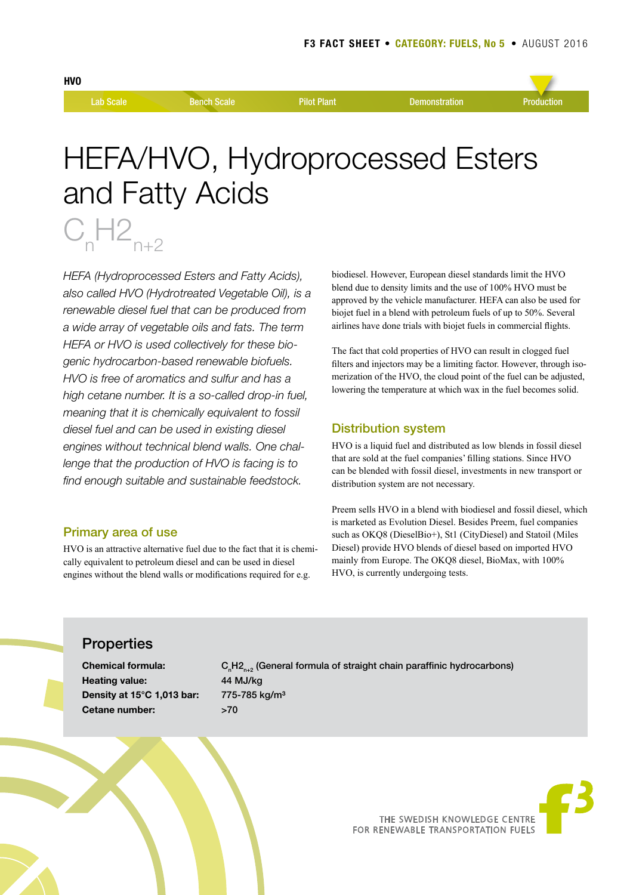$C_nH2_{n+2}$ 



# HEFA/HVO, Hydroprocessed Esters and Fatty Acids

*HEFA (Hydroprocessed Esters and Fatty Acids), also called HVO (Hydrotreated Vegetable Oil), is a renewable diesel fuel that can be produced from a wide array of vegetable oils and fats. The term HEFA or HVO is used collectively for these biogenic hydrocarbon-based renewable biofuels. HVO is free of aromatics and sulfur and has a high cetane number. It is a so-called drop-in fuel, meaning that it is chemically equivalent to fossil diesel fuel and can be used in existing diesel engines without technical blend walls. One challenge that the production of HVO is facing is to find enough suitable and sustainable feedstock.* 

## Primary area of use

HVO is an attractive alternative fuel due to the fact that it is chemically equivalent to petroleum diesel and can be used in diesel engines without the blend walls or modifications required for e.g.

biodiesel. However, European diesel standards limit the HVO blend due to density limits and the use of 100% HVO must be approved by the vehicle manufacturer. HEFA can also be used for biojet fuel in a blend with petroleum fuels of up to 50%. Several airlines have done trials with biojet fuels in commercial flights.

The fact that cold properties of HVO can result in clogged fuel filters and injectors may be a limiting factor. However, through isomerization of the HVO, the cloud point of the fuel can be adjusted, lowering the temperature at which wax in the fuel becomes solid.

## Distribution system

HVO is a liquid fuel and distributed as low blends in fossil diesel that are sold at the fuel companies' filling stations. Since HVO can be blended with fossil diesel, investments in new transport or distribution system are not necessary.

Preem sells HVO in a blend with biodiesel and fossil diesel, which is marketed as Evolution Diesel. Besides Preem, fuel companies such as OKQ8 (DieselBio+), St1 (CityDiesel) and Statoil (Miles Diesel) provide HVO blends of diesel based on imported HVO mainly from Europe. The OKQ8 diesel, BioMax, with 100% HVO, is currently undergoing tests.

# **Properties**

**Heating value:** 44 MJ/kg **Density at 15°C 1,013 bar:** 775-785 kg/m³ **Cetane number:** >70

**Chemical formula:** C<sub>n</sub>H<sub>2n+2</sub> (General formula of straight chain paraffinic hydrocarbons)



THE SWEDISH KNOWLEDGE CENTRE FOR RENEWABLE TRANSPORTATION FUELS